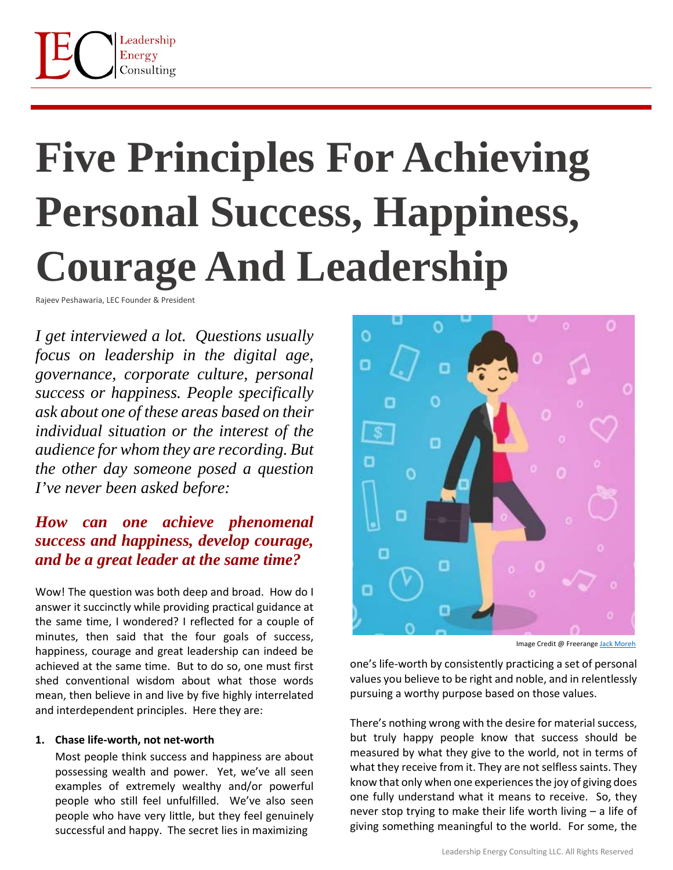# **Five Principles For Achieving Personal Success, Happiness, Courage And Leadership**

Rajeev Peshawaria, LEC Founder & President

*I get interviewed a lot. Questions usually focus on leadership in the digital age, governance, corporate culture, personal success or happiness. People specifically ask about one of these areas based on their individual situation or the interest of the audience for whom they are recording. But the other day someone posed a question I've never been asked before:*

# *How can one achieve phenomenal success and happiness, develop courage, and be a great leader at the same time?*

Wow! The question was both deep and broad. How do I answer it succinctly while providing practical guidance at the same time, I wondered? I reflected for a couple of minutes, then said that the four goals of success, happiness, courage and great leadership can indeed be achieved at the same time. But to do so, one must first shed conventional wisdom about what those words mean, then believe in and live by five highly interrelated and interdependent principles. Here they are:

#### **1. Chase life-worth, not net-worth**

Most people think success and happiness are about possessing wealth and power. Yet, we've all seen examples of extremely wealthy and/or powerful people who still feel unfulfilled. We've also seen people who have very little, but they feel genuinely successful and happy. The secret lies in maximizing



Image Credit @ Freerange [Jack Moreh](https://freerangestock.com/photos/118480/work-life-balance-concept--distractions-and-obligations.html)

one's life-worth by consistently practicing a set of personal values you believe to be right and noble, and in relentlessly pursuing a worthy purpose based on those values.

There's nothing wrong with the desire for material success, but truly happy people know that success should be measured by what they give to the world, not in terms of what they receive from it. They are not selfless saints. They know that only when one experiences the joy of giving does one fully understand what it means to receive. So, they never stop trying to make their life worth living – a life of giving something meaningful to the world. For some, the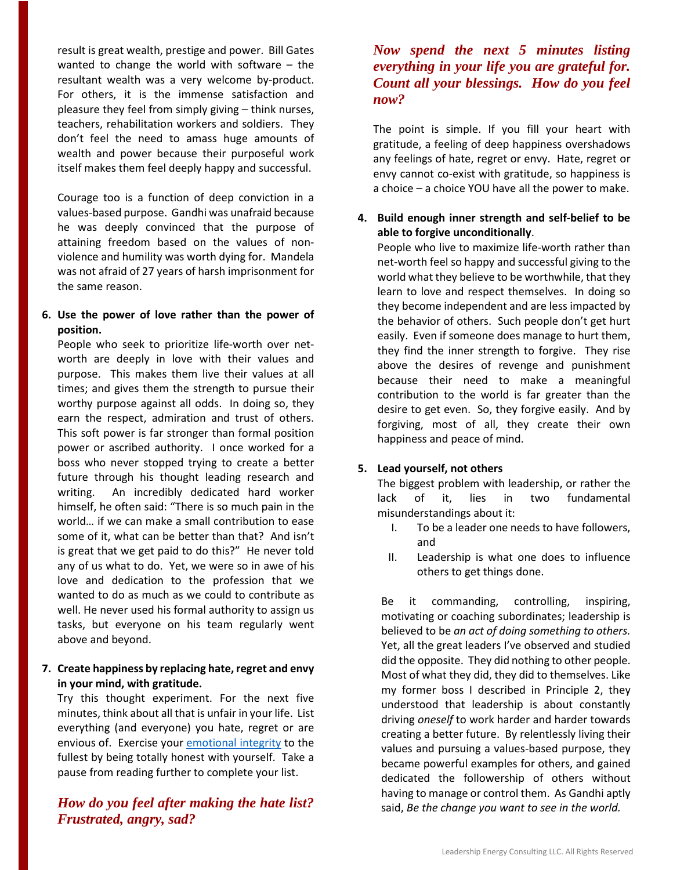result is great wealth, prestige and power. Bill Gates wanted to change the world with software – the resultant wealth was a very welcome by-product. For others, it is the immense satisfaction and pleasure they feel from simply giving – think nurses, teachers, rehabilitation workers and soldiers. They don't feel the need to amass huge amounts of wealth and power because their purposeful work itself makes them feel deeply happy and successful.

Courage too is a function of deep conviction in a values-based purpose. Gandhi was unafraid because he was deeply convinced that the purpose of attaining freedom based on the values of nonviolence and humility was worth dying for. Mandela was not afraid of 27 years of harsh imprisonment for the same reason.

#### **6. Use the power of love rather than the power of position.**

People who seek to prioritize life-worth over networth are deeply in love with their values and purpose. This makes them live their values at all times; and gives them the strength to pursue their worthy purpose against all odds. In doing so, they earn the respect, admiration and trust of others. This soft power is far stronger than formal position power or ascribed authority. I once worked for a boss who never stopped trying to create a better future through his thought leading research and writing. An incredibly dedicated hard worker himself, he often said: "There is so much pain in the world… if we can make a small contribution to ease some of it, what can be better than that? And isn't is great that we get paid to do this?" He never told any of us what to do. Yet, we were so in awe of his love and dedication to the profession that we wanted to do as much as we could to contribute as well. He never used his formal authority to assign us tasks, but everyone on his team regularly went above and beyond.

#### **7. Create happiness by replacing hate, regret and envy in your mind, with gratitude.**

Try this thought experiment. For the next five minutes, think about all that is unfair in your life. List everything (and everyone) you hate, regret or are envious of. Exercise you[r emotional integrity](https://www.forbes.com/sites/rajeevpeshawaria/2014/11/17/emotional-integrity/#50e23e9f37ac) to the fullest by being totally honest with yourself. Take a pause from reading further to complete your list.

## *How do you feel after making the hate list? Frustrated, angry, sad?*

### *Now spend the next 5 minutes listing everything in your life you are grateful for. Count all your blessings. How do you feel now?*

The point is simple. If you fill your heart with gratitude, a feeling of deep happiness overshadows any feelings of hate, regret or envy. Hate, regret or envy cannot co-exist with gratitude, so happiness is a choice – a choice YOU have all the power to make.

#### **4. Build enough inner strength and self-belief to be able to forgive unconditionally**.

People who live to maximize life-worth rather than net-worth feel so happy and successful giving to the world what they believe to be worthwhile, that they learn to love and respect themselves. In doing so they become independent and are less impacted by the behavior of others. Such people don't get hurt easily. Even if someone does manage to hurt them, they find the inner strength to forgive. They rise above the desires of revenge and punishment because their need to make a meaningful contribution to the world is far greater than the desire to get even. So, they forgive easily. And by forgiving, most of all, they create their own happiness and peace of mind.

#### **5. Lead yourself, not others**

The biggest problem with leadership, or rather the lack of it, lies in two fundamental misunderstandings about it:

- I. To be a leader one needs to have followers, and
- II. Leadership is what one does to influence others to get things done.

Be it commanding, controlling, inspiring, motivating or coaching subordinates; leadership is believed to be *an act of doing something to others.* Yet, all the great leaders I've observed and studied did the opposite. They did nothing to other people. Most of what they did, they did to themselves. Like my former boss I described in Principle 2, they understood that leadership is about constantly driving *oneself* to work harder and harder towards creating a better future. By relentlessly living their values and pursuing a values-based purpose, they became powerful examples for others, and gained dedicated the followership of others without having to manage or control them. As Gandhi aptly said, *Be the change you want to see in the world.*